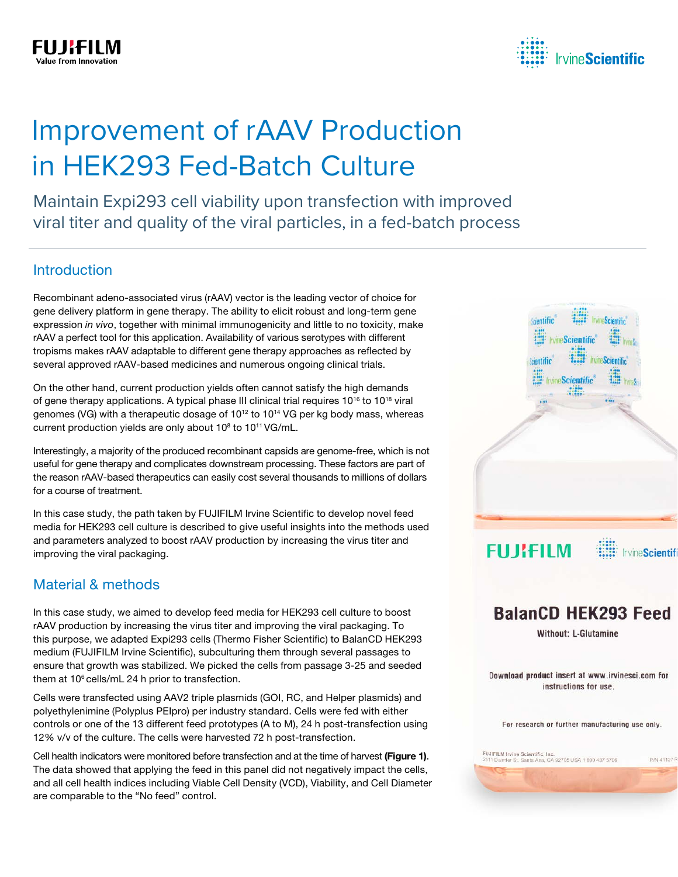

# Improvement of rAAV Production in HEK293 Fed-Batch Culture

Maintain Expi293 cell viability upon transfection with improved viral titer and quality of the viral particles, in a fed-batch process

### Introduction

Recombinant adeno-associated virus (rAAV) vector is the leading vector of choice for gene delivery platform in gene therapy. The ability to elicit robust and long-term gene expression *in vivo*, together with minimal immunogenicity and little to no toxicity, make rAAV a perfect tool for this application. Availability of various serotypes with different tropisms makes rAAV adaptable to different gene therapy approaches as reflected by several approved rAAV-based medicines and numerous ongoing clinical trials.

On the other hand, current production yields often cannot satisfy the high demands of gene therapy applications. A typical phase III clinical trial requires  $10^{16}$  to  $10^{18}$  viral genomes (VG) with a therapeutic dosage of 10<sup>12</sup> to 10<sup>14</sup> VG per kg body mass, whereas current production yields are only about  $10^8$  to  $10^{11}$  VG/mL.

Interestingly, a majority of the produced recombinant capsids are genome-free, which is not useful for gene therapy and complicates downstream processing. These factors are part of the reason rAAV-based therapeutics can easily cost several thousands to millions of dollars for a course of treatment.

In this case study, the path taken by FUJIFILM Irvine Scientific to develop novel feed media for HEK293 cell culture is described to give useful insights into the methods used and parameters analyzed to boost rAAV production by increasing the virus titer and improving the viral packaging.

### Material & methods

In this case study, we aimed to develop feed media for HEK293 cell culture to boost rAAV production by increasing the virus titer and improving the viral packaging. To this purpose, we adapted Expi293 cells (Thermo Fisher Scientific) to BalanCD HEK293 medium (FUJIFILM Irvine Scientific), subculturing them through several passages to ensure that growth was stabilized. We picked the cells from passage 3-25 and seeded them at  $10^6$  cells/mL 24 h prior to transfection.

Cells were transfected using AAV2 triple plasmids (GOI, RC, and Helper plasmids) and polyethylenimine (Polyplus PEIpro) per industry standard. Cells were fed with either controls or one of the 13 different feed prototypes (A to M), 24 h post-transfection using 12% v/v of the culture. The cells were harvested 72 h post-transfection.

Cell health indicators were monitored before transfection and at the time of harvest (Figure 1). The data showed that applying the feed in this panel did not negatively impact the cells, and all cell health indices including Viable Cell Density (VCD), Viability, and Cell Diameter are comparable to the "No feed" control.



Download product insert at www.irvinesci.com for instructions for use.

For research or further manufacturing use only.

-<br>Daimler St. Santa Ana, CA 92705 USA 1 800 437 5706<br>Daimler St. Santa Ana, CA 92705 USA 1 800 437 5706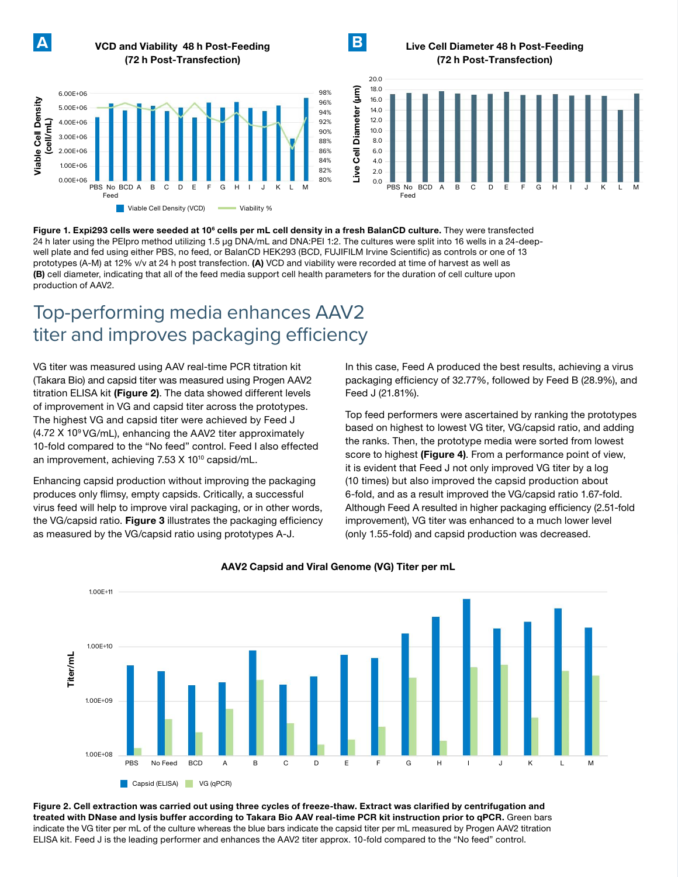**A** VCD and Viability 48 h Post-Feeding **B**

Live Cell Diameter 48 h Post-Feeding (72 h Post-Transfection)



(72 h Post-Transfection)



Figure 1. Expi293 cells were seeded at 10<sup>e</sup> cells per mL cell density in a fresh BalanCD culture. They were transfected 24 h later using the PEIpro method utilizing 1.5 µg DNA/mL and DNA:PEI 1:2. The cultures were split into 16 wells in a 24-deepwell plate and fed using either PBS, no feed, or BalanCD HEK293 (BCD, FUJIFILM Irvine Scientific) as controls or one of 13 prototypes (A-M) at 12% v/v at 24 h post transfection. (A) VCD and viability were recorded at time of harvest as well as (B) cell diameter, indicating that all of the feed media support cell health parameters for the duration of cell culture upon production of AAV2.

# Top-performing media enhances AAV2 titer and improves packaging efficiency

VG titer was measured using AAV real-time PCR titration kit (Takara Bio) and capsid titer was measured using Progen AAV2 titration ELISA kit (Figure 2). The data showed different levels of improvement in VG and capsid titer across the prototypes. The highest VG and capsid titer were achieved by Feed J (4.72 X 109 VG/mL), enhancing the AAV2 titer approximately 10-fold compared to the "No feed" control. Feed I also effected an improvement, achieving 7.53 X 10<sup>10</sup> capsid/mL.

Enhancing capsid production without improving the packaging produces only flimsy, empty capsids. Critically, a successful virus feed will help to improve viral packaging, or in other words, the VG/capsid ratio. Figure 3 illustrates the packaging efficiency as measured by the VG/capsid ratio using prototypes A-J.

In this case, Feed A produced the best results, achieving a virus packaging efficiency of 32.77%, followed by Feed B (28.9%), and Feed J (21.81%).

Top feed performers were ascertained by ranking the prototypes based on highest to lowest VG titer, VG/capsid ratio, and adding the ranks. Then, the prototype media were sorted from lowest score to highest (Figure 4). From a performance point of view, it is evident that Feed J not only improved VG titer by a log (10 times) but also improved the capsid production about 6-fold, and as a result improved the VG/capsid ratio 1.67-fold. Although Feed A resulted in higher packaging efficiency (2.51-fold improvement), VG titer was enhanced to a much lower level (only 1.55-fold) and capsid production was decreased.



#### AAV2 Capsid and Viral Genome (VG) Titer per mL

Figure 2. Cell extraction was carried out using three cycles of freeze-thaw. Extract was clarified by centrifugation and treated with DNase and lysis buffer according to Takara Bio AAV real-time PCR kit instruction prior to qPCR. Green bars indicate the VG titer per mL of the culture whereas the blue bars indicate the capsid titer per mL measured by Progen AAV2 titration ELISA kit. Feed J is the leading performer and enhances the AAV2 titer approx. 10-fold compared to the "No feed" control.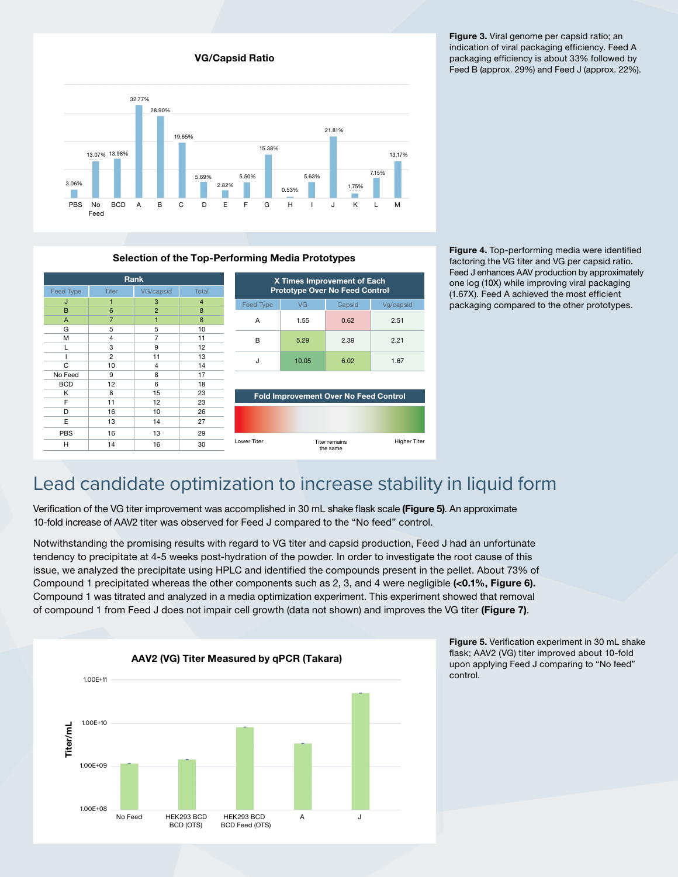Figure 3. Viral genome per capsid ratio; an indication of viral packaging efficiency. Feed A packaging efficiency is about 33% followed by Feed B (approx. 29%) and Feed J (approx. 22%).



VG/Capsid Ratio

#### Selection of the Top-Performing Media Prototypes



Figure 4. Top-performing media were identified factoring the VG titer and VG per capsid ratio. Feed J enhances AAV production by approximately one log (10X) while improving viral packaging (1.67X). Feed A achieved the most efficient packaging compared to the other prototypes.

# Lead candidate optimization to increase stability in liquid form

Verification of the VG titer improvement was accomplished in 30 mL shake flask scale (Figure 5). An approximate 10-fold increase of AAV2 titer was observed for Feed J compared to the "No feed" control.

Notwithstanding the promising results with regard to VG titer and capsid production, Feed J had an unfortunate tendency to precipitate at 4-5 weeks post-hydration of the powder. In order to investigate the root cause of this issue, we analyzed the precipitate using HPLC and identified the compounds present in the pellet. About 73% of Compound 1 precipitated whereas the other components such as 2, 3, and 4 were negligible (<0.1%, Figure 6). Compound 1 was titrated and analyzed in a media optimization experiment. This experiment showed that removal of compound 1 from Feed J does not impair cell growth (data not shown) and improves the VG titer (Figure 7).



Figure 5. Verification experiment in 30 mL shake flask; AAV2 (VG) titer improved about 10-fold upon applying Feed J comparing to "No feed" control.